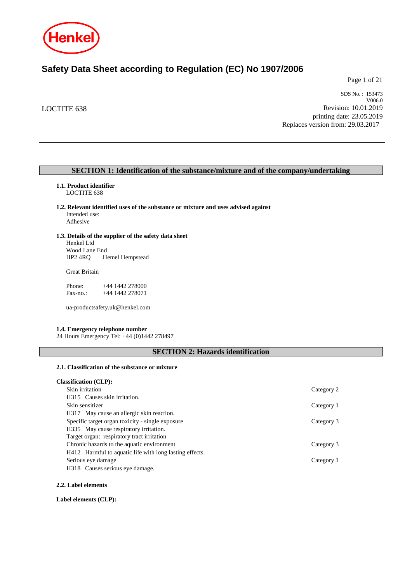

# **Safety Data Sheet according to Regulation (EC) No 1907/2006**

Page 1 of 21

LOCTITE 638

SDS No. : 153473 V006.0 Revision: 10.01.2019 printing date: 23.05.2019 Replaces version from: 29.03.2017

# **SECTION 1: Identification of the substance/mixture and of the company/undertaking**

# **1.1. Product identifier**

LOCTITE 638

- **1.2. Relevant identified uses of the substance or mixture and uses advised against** Intended use: Adhesive
	-

#### **1.3. Details of the supplier of the safety data sheet** Henkel Ltd

Wood Lane End<br>HP2 4RQ H Hemel Hempstead

Great Britain

Phone: +44 1442 278000<br>Fax-no.: +44 1442 278071 +44 1442 278071

ua-productsafety.uk@henkel.com

# **1.4. Emergency telephone number**

24 Hours Emergency Tel: +44 (0)1442 278497

# **SECTION 2: Hazards identification**

# **2.1. Classification of the substance or mixture**

| <b>Classification (CLP):</b>                            |            |
|---------------------------------------------------------|------------|
| Skin irritation                                         | Category 2 |
| H315 Causes skin irritation.                            |            |
| Skin sensitizer                                         | Category 1 |
| H317 May cause an allergic skin reaction.               |            |
| Specific target organ toxicity - single exposure        | Category 3 |
| H335 May cause respiratory irritation.                  |            |
| Target organ: respiratory tract irritation              |            |
| Chronic hazards to the aquatic environment              | Category 3 |
| H412 Harmful to aquatic life with long lasting effects. |            |
| Serious eye damage                                      | Category 1 |
| H318 Causes serious eye damage.                         |            |

#### **2.2. Label elements**

#### **Label elements (CLP):**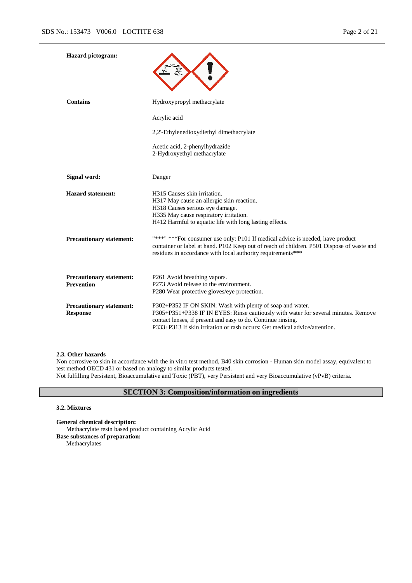| <b>Hazard</b> pictogram:                             |                                                                                                                                                                                                                                                                                               |
|------------------------------------------------------|-----------------------------------------------------------------------------------------------------------------------------------------------------------------------------------------------------------------------------------------------------------------------------------------------|
| <b>Contains</b>                                      | Hydroxypropyl methacrylate                                                                                                                                                                                                                                                                    |
|                                                      | Acrylic acid                                                                                                                                                                                                                                                                                  |
|                                                      | 2,2'-Ethylenedioxydiethyl dimethacrylate                                                                                                                                                                                                                                                      |
|                                                      | Acetic acid, 2-phenylhydrazide<br>2-Hydroxyethyl methacrylate                                                                                                                                                                                                                                 |
| Signal word:                                         | Danger                                                                                                                                                                                                                                                                                        |
| <b>Hazard statement:</b>                             | H315 Causes skin irritation.<br>H317 May cause an allergic skin reaction.<br>H318 Causes serious eye damage.<br>H335 May cause respiratory irritation.<br>H412 Harmful to aquatic life with long lasting effects.                                                                             |
| <b>Precautionary statement:</b>                      | "***" *** For consumer use only: P101 If medical advice is needed, have product<br>container or label at hand. P102 Keep out of reach of children. P501 Dispose of waste and<br>residues in accordance with local authority requirements***                                                   |
| <b>Precautionary statement:</b><br><b>Prevention</b> | P261 Avoid breathing vapors.<br>P273 Avoid release to the environment.<br>P280 Wear protective gloves/eye protection.                                                                                                                                                                         |
| <b>Precautionary statement:</b><br><b>Response</b>   | P302+P352 IF ON SKIN: Wash with plenty of soap and water.<br>P305+P351+P338 IF IN EYES: Rinse cautiously with water for several minutes. Remove<br>contact lenses, if present and easy to do. Continue rinsing.<br>P333+P313 If skin irritation or rash occurs: Get medical advice/attention. |

#### **2.3. Other hazards**

Non corrosive to skin in accordance with the in vitro test method, B40 skin corrosion - Human skin model assay, equivalent to test method OECD 431 or based on analogy to similar products tested. Not fulfilling Persistent, Bioaccumulative and Toxic (PBT), very Persistent and very Bioaccumulative (vPvB) criteria.

# **SECTION 3: Composition/information on ingredients**

#### **3.2. Mixtures**

**General chemical description:** Methacrylate resin based product containing Acrylic Acid **Base substances of preparation:** Methacrylates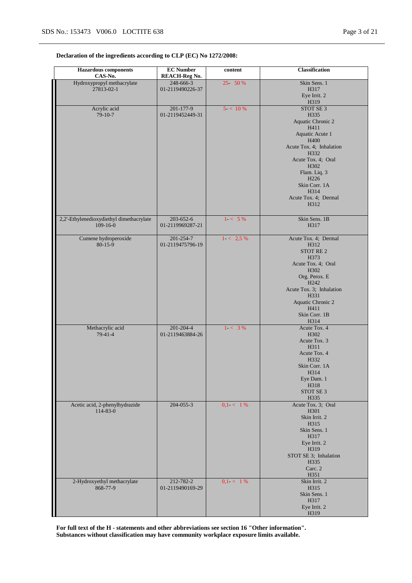# **Declaration of the ingredients according to CLP (EC) No 1272/2008:**

| <b>Hazardous</b> components<br>CAS-No.                 | <b>EC</b> Number<br><b>REACH-Reg No.</b> | content     | Classification                               |
|--------------------------------------------------------|------------------------------------------|-------------|----------------------------------------------|
| Hydroxypropyl methacrylate                             | 248-666-3                                | 25 50 %     | Skin Sens. 1                                 |
| 27813-02-1                                             | 01-2119490226-37                         |             | H317<br>Eye Irrit. 2                         |
|                                                        |                                          |             | H319                                         |
| Acrylic acid                                           | 201-177-9                                | 5 < 10%     | STOT SE 3                                    |
| $79-10-7$                                              | 01-2119452449-31                         |             | H335<br>Aquatic Chronic 2                    |
|                                                        |                                          |             | H411                                         |
|                                                        |                                          |             | Aquatic Acute 1                              |
|                                                        |                                          |             | H400<br>Acute Tox. 4; Inhalation             |
|                                                        |                                          |             | H332                                         |
|                                                        |                                          |             | Acute Tox. 4; Oral<br>H302                   |
|                                                        |                                          |             | Flam. Liq. 3                                 |
|                                                        |                                          |             | H <sub>226</sub>                             |
|                                                        |                                          |             | Skin Corr. 1A<br>H314                        |
|                                                        |                                          |             | Acute Tox. 4; Dermal                         |
|                                                        |                                          |             | H312                                         |
|                                                        |                                          |             |                                              |
| 2,2'-Ethylenedioxydiethyl dimethacrylate<br>$109-16-0$ | 203-652-6<br>01-2119969287-21            | $1 < 5\%$   | Skin Sens. 1B<br>H317                        |
|                                                        |                                          |             |                                              |
| Cumene hydroperoxide<br>$80 - 15 - 9$                  | $201 - 254 - 7$<br>01-2119475796-19      | $1 < 2.5\%$ | Acute Tox. 4; Dermal<br>H312                 |
|                                                        |                                          |             | STOT RE <sub>2</sub>                         |
|                                                        |                                          |             | H373                                         |
|                                                        |                                          |             | Acute Tox. 4; Oral<br>H302                   |
|                                                        |                                          |             | Org. Perox. E                                |
|                                                        |                                          |             | H <sub>242</sub><br>Acute Tox. 3; Inhalation |
|                                                        |                                          |             | H331                                         |
|                                                        |                                          |             | Aquatic Chronic 2                            |
|                                                        |                                          |             | H411<br>Skin Corr. 1B                        |
|                                                        |                                          |             | H314                                         |
| Methacrylic acid<br>$79-41-4$                          | 201-204-4<br>01-2119463884-26            | $1 - 3\%$   | Acute Tox. 4<br>H302                         |
|                                                        |                                          |             | Acute Tox. 3                                 |
|                                                        |                                          |             | H311                                         |
|                                                        |                                          |             | Acute Tox. 4<br>H332                         |
|                                                        |                                          |             | Skin Corr. 1A                                |
|                                                        |                                          |             | H314                                         |
|                                                        |                                          |             | Eye Dam. 1<br>H318                           |
|                                                        |                                          |             | STOT SE <sub>3</sub>                         |
| Acetic acid, 2-phenylhydrazide                         | $204 - 055 - 3$                          | $0,1 < 1\%$ | H335<br>Acute Tox. 3; Oral                   |
| $114 - 83 - 0$                                         |                                          |             | H301                                         |
|                                                        |                                          |             | Skin Irrit. 2<br>H315                        |
|                                                        |                                          |             | Skin Sens. 1                                 |
|                                                        |                                          |             | H317                                         |
|                                                        |                                          |             | Eye Irrit. 2<br>H319                         |
|                                                        |                                          |             | STOT SE 3; Inhalation                        |
|                                                        |                                          |             | H335                                         |
|                                                        |                                          |             | Carc. 2<br>H351                              |
| 2-Hydroxyethyl methacrylate                            | 212-782-2                                | $0.1 < 1\%$ | Skin Irrit. 2                                |
| 868-77-9                                               | 01-2119490169-29                         |             | H315<br>Skin Sens. 1                         |
|                                                        |                                          |             | H317                                         |
|                                                        |                                          |             | Eye Irrit. 2                                 |
|                                                        |                                          |             | H319                                         |

**For full text of the H - statements and other abbreviations see section 16 "Other information". Substances without classification may have community workplace exposure limits available.**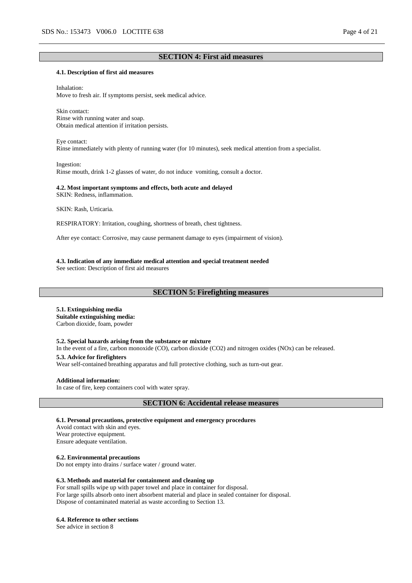# **SECTION 4: First aid measures**

#### **4.1. Description of first aid measures**

Inhalation: Move to fresh air. If symptoms persist, seek medical advice.

Skin contact: Rinse with running water and soap. Obtain medical attention if irritation persists.

Eye contact: Rinse immediately with plenty of running water (for 10 minutes), seek medical attention from a specialist.

Ingestion: Rinse mouth, drink 1-2 glasses of water, do not induce vomiting, consult a doctor.

#### **4.2. Most important symptoms and effects, both acute and delayed** SKIN: Redness, inflammation.

SKIN: Rash, Urticaria.

RESPIRATORY: Irritation, coughing, shortness of breath, chest tightness.

After eye contact: Corrosive, may cause permanent damage to eyes (impairment of vision).

#### **4.3. Indication of any immediate medical attention and special treatment needed**

See section: Description of first aid measures

# **SECTION 5: Firefighting measures**

# **5.1. Extinguishing media**

**Suitable extinguishing media:** Carbon dioxide, foam, powder

#### **5.2. Special hazards arising from the substance or mixture**

In the event of a fire, carbon monoxide (CO), carbon dioxide (CO2) and nitrogen oxides (NOx) can be released. **5.3. Advice for firefighters**

Wear self-contained breathing apparatus and full protective clothing, such as turn-out gear.

#### **Additional information:**

In case of fire, keep containers cool with water spray.

**SECTION 6: Accidental release measures**

**6.1. Personal precautions, protective equipment and emergency procedures**

Avoid contact with skin and eyes. Wear protective equipment. Ensure adequate ventilation.

**6.2. Environmental precautions**

Do not empty into drains / surface water / ground water.

#### **6.3. Methods and material for containment and cleaning up**

For small spills wipe up with paper towel and place in container for disposal. For large spills absorb onto inert absorbent material and place in sealed container for disposal. Dispose of contaminated material as waste according to Section 13.

#### **6.4. Reference to other sections**

See advice in section 8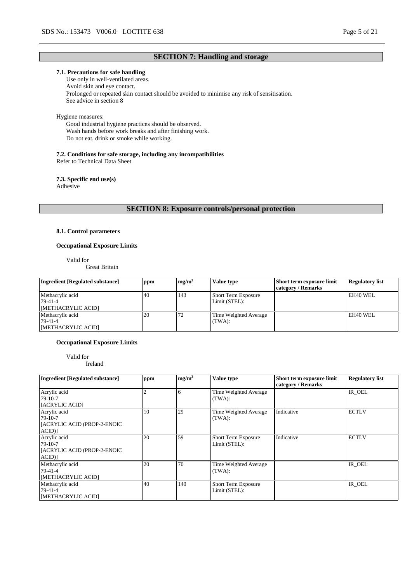# **SECTION 7: Handling and storage**

# **7.1. Precautions for safe handling**

Use only in well-ventilated areas. Avoid skin and eye contact. Prolonged or repeated skin contact should be avoided to minimise any risk of sensitisation. See advice in section 8

# Hygiene measures:

Good industrial hygiene practices should be observed. Wash hands before work breaks and after finishing work. Do not eat, drink or smoke while working.

#### **7.2. Conditions for safe storage, including any incompatibilities**

Refer to Technical Data Sheet

#### **7.3. Specific end use(s)** Adhesive

**SECTION 8: Exposure controls/personal protection**

# **8.1. Control parameters**

# **Occupational Exposure Limits**

Valid for

Great Britain

| <b>Ingredient [Regulated substance]</b>           | ppm | mg/m <sup>3</sup> | Value type                                  | Short term exposure limit<br>category / Remarks | <b>Regulatory list</b> |
|---------------------------------------------------|-----|-------------------|---------------------------------------------|-------------------------------------------------|------------------------|
| Methacrylic acid<br>79-41-4<br>[METHACRYLIC ACID] | 40  | 143               | <b>Short Term Exposure</b><br>Limit (STEL): |                                                 | EH40 WEL               |
| Methacrylic acid<br>79-41-4<br>[METHACRYLIC ACID] | 20  | 72                | Time Weighted Average<br>(TWA):             |                                                 | EH40 WEL               |

#### **Occupational Exposure Limits**

Valid for

Ireland

| <b>Ingredient [Regulated substance]</b>                              | ppm | mg/m <sup>3</sup> | Value type                                  | Short term exposure limit<br>category / Remarks | <b>Regulatory list</b> |
|----------------------------------------------------------------------|-----|-------------------|---------------------------------------------|-------------------------------------------------|------------------------|
| Acrylic acid<br>$79-10-7$<br>[ACRYLIC ACID]                          |     |                   | Time Weighted Average<br>(TWA):             |                                                 | IR_OEL                 |
| Acrylic acid<br>$79-10-7$<br>[ACRYLIC ACID (PROP-2-ENOIC<br>$ACID$ ] | 10  | 29                | Time Weighted Average<br>(TWA):             | Indicative                                      | <b>ECTLV</b>           |
| Acrylic acid<br>$79-10-7$<br>[ACRYLIC ACID (PROP-2-ENOIC<br>$ACID$ ] | 20  | 59                | <b>Short Term Exposure</b><br>Limit (STEL): | Indicative                                      | <b>ECTLV</b>           |
| Methacrylic acid<br>79-41-4<br>[METHACRYLIC ACID]                    | 20  | 70                | Time Weighted Average<br>(TWA):             |                                                 | IR OEL                 |
| Methacrylic acid<br>79-41-4<br>[METHACRYLIC ACID]                    | 40  | 140               | <b>Short Term Exposure</b><br>Limit (STEL): |                                                 | IR OEL                 |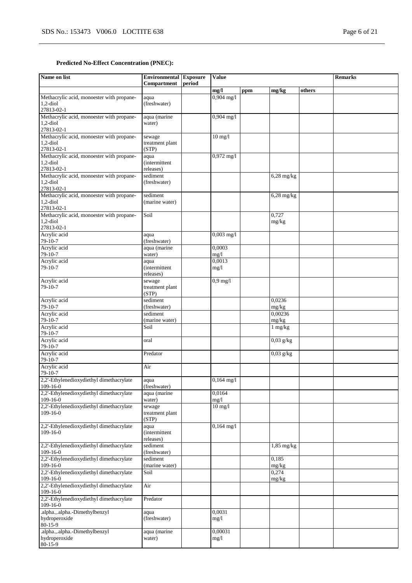# **Predicted No-Effect Concentration (PNEC):**

| Name on list                                                                                       | <b>Environmental</b> Exposure<br>Compartment | period | <b>Value</b>           |     |                                  |        | <b>Remarks</b> |
|----------------------------------------------------------------------------------------------------|----------------------------------------------|--------|------------------------|-----|----------------------------------|--------|----------------|
|                                                                                                    |                                              |        | mg/l                   | ppm | mg/kg                            | others |                |
| Methacrylic acid, monoester with propane-<br>$1,2$ -diol<br>27813-02-1                             | aqua<br>(freshwater)                         |        | $0,904 \text{ mg}/1$   |     |                                  |        |                |
| Methacrylic acid, monoester with propane-<br>$1,2$ -diol<br>27813-02-1                             | aqua (marine<br>water)                       |        | $0,904$ mg/l           |     |                                  |        |                |
| Methacrylic acid, monoester with propane-<br>$1,2$ -diol<br>27813-02-1                             | sewage<br>treatment plant<br>(STP)           |        | $10$ mg/l              |     |                                  |        |                |
| Methacrylic acid, monoester with propane-<br>$1,2$ -diol<br>27813-02-1                             | aqua<br><i>(intermittent)</i><br>releases)   |        | $0,972$ mg/l           |     |                                  |        |                |
| Methacrylic acid, monoester with propane-<br>$1,2$ -diol<br>27813-02-1                             | sediment<br>(freshwater)                     |        |                        |     | $6,28$ mg/kg                     |        |                |
| Methacrylic acid, monoester with propane-<br>$1,2$ -diol<br>27813-02-1                             | sediment<br>(marine water)                   |        |                        |     | $6,28 \text{ mg/kg}$             |        |                |
| Methacrylic acid, monoester with propane-<br>$1,2$ -diol<br>27813-02-1                             | Soil                                         |        |                        |     | 0,727<br>mg/kg                   |        |                |
| Acrylic acid<br>$79-10-7$<br>Acrylic acid                                                          | aqua<br>(freshwater)<br>aqua (marine         |        | $0,003$ mg/l<br>0,0003 |     |                                  |        |                |
| 79-10-7<br>Acrylic acid                                                                            | water)<br>aqua                               |        | mg/l<br>0,0013         |     |                                  |        |                |
| $79-10-7$                                                                                          | <i>(intermittent)</i><br>releases)           |        | mg/1                   |     |                                  |        |                |
| Acrylic acid<br>79-10-7                                                                            | sewage<br>treatment plant<br>(STP)           |        | $0.9$ mg/l             |     |                                  |        |                |
| Acrylic acid<br>79-10-7                                                                            | sediment<br>(freshwater)                     |        |                        |     | 0,0236<br>mg/kg                  |        |                |
| Acrylic acid<br>$79-10-7$                                                                          | sediment<br>(marine water)                   |        |                        |     | 0.00236<br>mg/kg                 |        |                |
| Acrylic acid<br>79-10-7<br>Acrylic acid                                                            | Soil<br>oral                                 |        |                        |     | $1 \text{ mg/kg}$<br>$0.03$ g/kg |        |                |
| $79-10-7$<br>Acrylic acid                                                                          | Predator                                     |        |                        |     | $0,03$ g/kg                      |        |                |
| 79-10-7<br>Acrylic acid                                                                            | Air                                          |        |                        |     |                                  |        |                |
| 79-10-7<br>2,2'-Ethylenedioxydiethyl dimethacrylate<br>$109-16-0$                                  | aqua<br>(freshwater)                         |        | $0,164$ mg/l           |     |                                  |        |                |
| 2,2'-Ethylenedioxydiethyl dimethacrylate<br>$109-16-0$                                             | aqua (marine<br>water)                       |        | 0,0164<br>mg/1         |     |                                  |        |                |
| 2,2'-Ethylenedioxydiethyl dimethacrylate<br>$109-16-0$                                             | sewage<br>treatment plant<br>(STP)           |        | $10$ mg/l              |     |                                  |        |                |
| 2,2'-Ethylenedioxydiethyl dimethacrylate<br>$109-16-0$                                             | aqua<br><i>(intermittent)</i><br>releases)   |        | $0,164$ mg/l           |     |                                  |        |                |
| 2,2'-Ethylenedioxydiethyl dimethacrylate<br>$109-16-0$                                             | sediment<br>(freshwater)                     |        |                        |     | $1,85$ mg/kg                     |        |                |
| 2,2'-Ethylenedioxydiethyl dimethacrylate<br>$109-16-0$                                             | sediment<br>(marine water)                   |        |                        |     | 0,185<br>mg/kg                   |        |                |
| 2,2'-Ethylenedioxydiethyl dimethacrylate<br>$109-16-0$<br>2,2'-Ethylenedioxydiethyl dimethacrylate | Soil                                         |        |                        |     | 0,274<br>mg/kg                   |        |                |
| 109-16-0<br>2,2'-Ethylenedioxydiethyl dimethacrylate                                               | Air<br>Predator                              |        |                        |     |                                  |        |                |
| 109-16-0<br>.alpha.,.alpha.-Dimethylbenzyl                                                         | aqua                                         |        | 0,0031                 |     |                                  |        |                |
| hydroperoxide<br>80-15-9                                                                           | (freshwater)                                 |        | mg/1                   |     |                                  |        |                |
| .alpha.,.alpha.-Dimethylbenzyl<br>hydroperoxide<br>80-15-9                                         | aqua (marine<br>water)                       |        | 0,00031<br>mg/1        |     |                                  |        |                |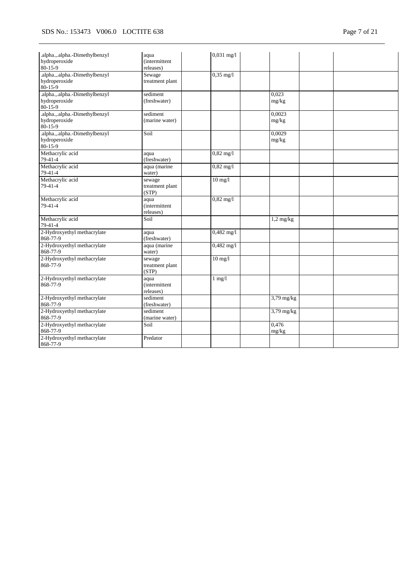| .alpha.,.alpha.-Dimethylbenzyl<br>hydroperoxide<br>80-15-9       | aqua<br>(intermittent<br>releases)         | $0,031$ mg/l        |                 |  |
|------------------------------------------------------------------|--------------------------------------------|---------------------|-----------------|--|
| .alpha.,.alpha.-Dimethylbenzyl<br>hydroperoxide<br>80-15-9       | Sewage<br>treatment plant                  | $0,35$ mg/l         |                 |  |
| .alpha., alpha.-Dimethylbenzyl<br>hydroperoxide<br>80-15-9       | sediment<br>(freshwater)                   |                     | 0,023<br>mg/kg  |  |
| .alpha.,.alpha.-Dimethylbenzyl<br>hydroperoxide<br>80-15-9       | sediment<br>(marine water)                 |                     | 0,0023<br>mg/kg |  |
| .alpha.,.alpha.-Dimethylbenzyl<br>hydroperoxide<br>$80 - 15 - 9$ | Soil                                       |                     | 0,0029<br>mg/kg |  |
| Methacrylic acid<br>79-41-4                                      | aqua<br>(freshwater)                       | $0,82 \text{ mg}/1$ |                 |  |
| Methacrylic acid<br>79-41-4                                      | aqua (marine<br>water)                     | $0,82$ mg/l         |                 |  |
| Methacrylic acid<br>79-41-4                                      | sewage<br>treatment plant<br>(STP)         | $10$ mg/ $1$        |                 |  |
| Methacrylic acid<br>79-41-4                                      | aqua<br><i>(intermittent)</i><br>releases) | $0,82$ mg/l         |                 |  |
| Methacrylic acid<br>$79-41-4$                                    | Soil                                       |                     | $1,2$ mg/kg     |  |
| 2-Hydroxyethyl methacrylate<br>868-77-9                          | aqua<br>(freshwater)                       | $0,482$ mg/l        |                 |  |
| 2-Hydroxyethyl methacrylate<br>868-77-9                          | aqua (marine<br>water)                     | $0,482$ mg/l        |                 |  |
| 2-Hydroxyethyl methacrylate<br>868-77-9                          | sewage<br>treatment plant<br>(STP)         | $10 \text{ mg}/l$   |                 |  |
| 2-Hydroxyethyl methacrylate<br>868-77-9                          | aqua<br><i>(intermittent)</i><br>releases) | $1$ mg/ $1$         |                 |  |
| 2-Hydroxyethyl methacrylate<br>868-77-9                          | sediment<br>(freshwater)                   |                     | $3,79$ mg/kg    |  |
| 2-Hydroxyethyl methacrylate<br>868-77-9                          | sediment<br>(marine water)                 |                     | $3,79$ mg/kg    |  |
| 2-Hydroxyethyl methacrylate<br>868-77-9                          | Soil                                       |                     | 0,476<br>mg/kg  |  |
| 2-Hydroxyethyl methacrylate<br>868-77-9                          | Predator                                   |                     |                 |  |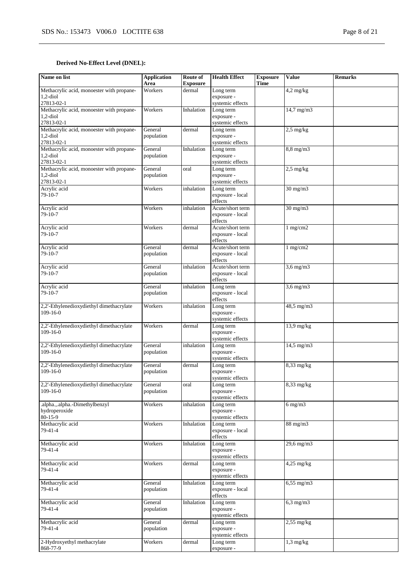# **Derived No-Effect Level (DNEL):**

| Name on list                              | <b>Application</b><br>Area | Route of<br><b>Exposure</b> | <b>Health Effect</b>                 | <b>Exposure</b><br><b>Time</b> | <b>Value</b>        | <b>Remarks</b> |
|-------------------------------------------|----------------------------|-----------------------------|--------------------------------------|--------------------------------|---------------------|----------------|
| Methacrylic acid, monoester with propane- | Workers                    | dermal                      | Long term                            |                                | $4,2$ mg/kg         |                |
| $1,2$ -diol                               |                            |                             | exposure -                           |                                |                     |                |
| 27813-02-1                                |                            |                             | systemic effects                     |                                |                     |                |
| Methacrylic acid, monoester with propane- | Workers                    | Inhalation                  | Long term                            |                                | $14,7$ mg/m $3$     |                |
| $1,2$ -diol                               |                            |                             | exposure -                           |                                |                     |                |
| 27813-02-1                                |                            |                             | systemic effects                     |                                |                     |                |
| Methacrylic acid, monoester with propane- | General                    | dermal                      | Long term                            |                                | $2,5$ mg/kg         |                |
| $1,2$ -diol                               | population                 |                             | exposure -                           |                                |                     |                |
| 27813-02-1                                |                            |                             | systemic effects                     |                                |                     |                |
| Methacrylic acid, monoester with propane- | General                    | Inhalation                  | Long term                            |                                | 8,8 mg/m3           |                |
| $1,2$ -diol                               | population                 |                             | exposure -                           |                                |                     |                |
| 27813-02-1                                |                            |                             | systemic effects                     |                                |                     |                |
| Methacrylic acid, monoester with propane- | General                    | oral                        | Long term                            |                                | $2.5 \text{ mg/kg}$ |                |
| $1,2$ -diol                               | population                 |                             | exposure -                           |                                |                     |                |
| 27813-02-1                                |                            |                             | systemic effects                     |                                |                     |                |
| Acrylic acid                              | Workers                    | inhalation                  | Long term                            |                                | $30 \text{ mg/m}$   |                |
| 79-10-7                                   |                            |                             | exposure - local                     |                                |                     |                |
|                                           |                            |                             | effects                              |                                |                     |                |
| Acrylic acid<br>79-10-7                   | Workers                    | inhalation                  | Acute/short term<br>exposure - local |                                | $30 \text{ mg/m}$   |                |
|                                           |                            |                             | effects                              |                                |                     |                |
| Acrylic acid                              | Workers                    | dermal                      | Acute/short term                     |                                | 1 mg/cm2            |                |
| $79-10-7$                                 |                            |                             | exposure - local                     |                                |                     |                |
|                                           |                            |                             | effects                              |                                |                     |                |
| Acrylic acid                              | General                    | dermal                      | Acute/short term                     |                                | 1 mg/cm2            |                |
| 79-10-7                                   | population                 |                             | exposure - local                     |                                |                     |                |
|                                           |                            |                             | effects                              |                                |                     |                |
| Acrylic acid                              | General                    | inhalation                  | Acute/short term                     |                                | $3.6$ mg/m $3$      |                |
| 79-10-7                                   | population                 |                             | exposure - local                     |                                |                     |                |
|                                           |                            |                             | effects                              |                                |                     |                |
| Acrylic acid                              | General                    | inhalation                  | Long term                            |                                | $3,6$ mg/m $3$      |                |
| 79-10-7                                   | population                 |                             | exposure - local                     |                                |                     |                |
|                                           |                            |                             | effects                              |                                |                     |                |
| 2,2'-Ethylenedioxydiethyl dimethacrylate  | Workers                    | inhalation                  | Long term                            |                                | 48,5 mg/m3          |                |
| $109-16-0$                                |                            |                             | exposure -                           |                                |                     |                |
|                                           |                            |                             | systemic effects                     |                                |                     |                |
| 2,2'-Ethylenedioxydiethyl dimethacrylate  | Workers                    | dermal                      | Long term                            |                                | 13,9 mg/kg          |                |
| $109-16-0$                                |                            |                             | exposure -                           |                                |                     |                |
|                                           |                            |                             | systemic effects                     |                                |                     |                |
| 2,2'-Ethylenedioxydiethyl dimethacrylate  | General                    | inhalation                  | Long term                            |                                | $14,5$ mg/m $3$     |                |
| $109-16-0$                                | population                 |                             | exposure -<br>systemic effects       |                                |                     |                |
| 2,2'-Ethylenedioxydiethyl dimethacrylate  | General                    | dermal                      | Long term                            |                                | $8,33$ mg/kg        |                |
| $109-16-0$                                | population                 |                             | exposure -                           |                                |                     |                |
|                                           |                            |                             | systemic effects                     |                                |                     |                |
| 2,2'-Ethylenedioxydiethyl dimethacrylate  | General                    | oral                        | Long term                            |                                | 8,33 mg/kg          |                |
| $109-16-0$                                | population                 |                             | exposure -                           |                                |                     |                |
|                                           |                            |                             | systemic effects                     |                                |                     |                |
| .alpha.,.alpha.-Dimethylbenzyl            | Workers                    | inhalation                  | Long term                            |                                | $6 \text{ mg/m}$    |                |
| hydroperoxide                             |                            |                             | exposure -                           |                                |                     |                |
| $80-15-9$                                 |                            |                             | systemic effects                     |                                |                     |                |
| Methacrylic acid                          | Workers                    | Inhalation                  | Long term                            |                                | $88$ mg/m $3$       |                |
| 79-41-4                                   |                            |                             | exposure - local                     |                                |                     |                |
|                                           |                            |                             | effects                              |                                |                     |                |
| Methacrylic acid                          | Workers                    | Inhalation                  | Long term                            |                                | 29,6 mg/m3          |                |
| 79-41-4                                   |                            |                             | exposure -                           |                                |                     |                |
|                                           |                            |                             | systemic effects                     |                                |                     |                |
| Methacrylic acid                          | Workers                    | dermal                      | Long term                            |                                | $4,25$ mg/kg        |                |
| 79-41-4                                   |                            |                             | exposure -<br>systemic effects       |                                |                     |                |
| Methacrylic acid                          | General                    | Inhalation                  | Long term                            |                                | $6,55$ mg/m $3$     |                |
| 79-41-4                                   | population                 |                             | exposure - local                     |                                |                     |                |
|                                           |                            |                             | effects                              |                                |                     |                |
| Methacrylic acid                          | General                    | Inhalation                  | Long term                            |                                | $6,3$ mg/m $3$      |                |
| 79-41-4                                   | population                 |                             | exposure -                           |                                |                     |                |
|                                           |                            |                             | systemic effects                     |                                |                     |                |
| Methacrylic acid                          | General                    | dermal                      | Long term                            |                                | $2,55$ mg/kg        |                |
| 79-41-4                                   | population                 |                             | exposure -                           |                                |                     |                |
|                                           |                            |                             | systemic effects                     |                                |                     |                |
| 2-Hydroxyethyl methacrylate               | Workers                    | dermal                      | Long term                            |                                | $1,3$ mg/kg         |                |
| 868-77-9                                  |                            |                             | exposure -                           |                                |                     |                |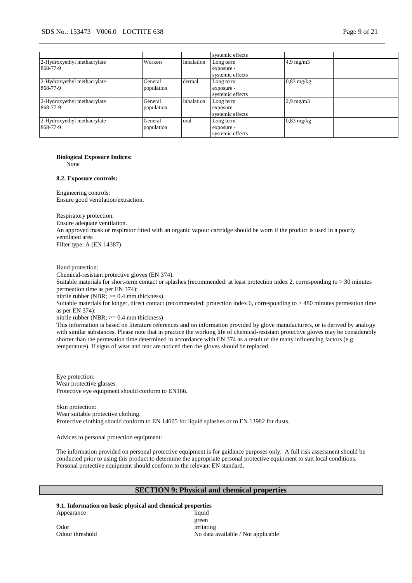|                                         |                       |            | systemic effects                            |                    |  |
|-----------------------------------------|-----------------------|------------|---------------------------------------------|--------------------|--|
| 2-Hydroxyethyl methacrylate<br>868-77-9 | Workers               | Inhalation | Long term<br>exposure -<br>systemic effects | $4.9 \text{ mg/m}$ |  |
| 2-Hydroxyethyl methacrylate<br>868-77-9 | General<br>population | dermal     | Long term<br>exposure -<br>systemic effects | $0,83$ mg/kg       |  |
| 2-Hydroxyethyl methacrylate<br>868-77-9 | General<br>population | Inhalation | Long term<br>exposure -<br>systemic effects | $2.9 \text{ mg/m}$ |  |
| 2-Hydroxyethyl methacrylate<br>868-77-9 | General<br>population | oral       | Long term<br>exposure -<br>systemic effects | $0.83$ mg/kg       |  |

# **Biological Exposure Indices:**

None

#### **8.2. Exposure controls:**

Engineering controls: Ensure good ventilation/extraction.

Respiratory protection: Ensure adequate ventilation. An approved mask or respirator fitted with an organic vapour cartridge should be worn if the product is used in a poorly ventilated area Filter type: A (EN 14387)

Hand protection:

Chemical-resistant protective gloves (EN 374).

Suitable materials for short-term contact or splashes (recommended: at least protection index 2, corresponding to > 30 minutes permeation time as per EN 374):

nitrile rubber (NBR; >= 0.4 mm thickness)

Suitable materials for longer, direct contact (recommended: protection index 6, corresponding to > 480 minutes permeation time as per EN 374):

nitrile rubber (NBR; >= 0.4 mm thickness)

This information is based on literature references and on information provided by glove manufacturers, or is derived by analogy with similar substances. Please note that in practice the working life of chemical-resistant protective gloves may be considerably shorter than the permeation time determined in accordance with EN 374 as a result of the many influencing factors (e.g. temperature). If signs of wear and tear are noticed then the gloves should be replaced.

Eye protection: Wear protective glasses. Protective eye equipment should conform to EN166.

Skin protection: Wear suitable protective clothing. Protective clothing should conform to EN 14605 for liquid splashes or to EN 13982 for dusts.

Advices to personal protection equipment:

The information provided on personal protective equipment is for guidance purposes only. A full risk assessment should be conducted prior to using this product to determine the appropriate personal protective equipment to suit local conditions. Personal protective equipment should conform to the relevant EN standard.

# **SECTION 9: Physical and chemical properties**

**9.1. Information on basic physical and chemical properties** Appearance liquid

green Odour threshold No data available / Not applicable

Odor irritating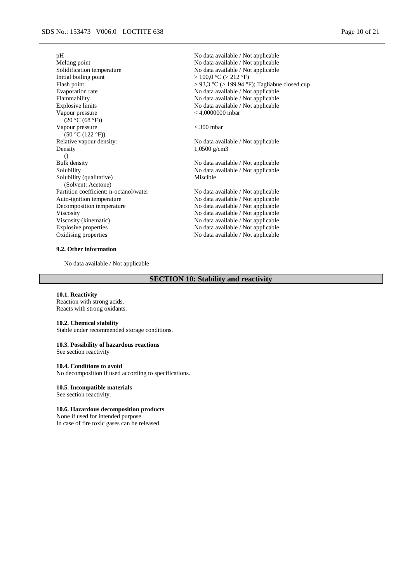Initial boiling point  $> 100,0 °C (> 212 °F)$ <br>Flash point  $> 93,3 °C (> 199.94 °1)$ Flammability No data available / Not applicable Explosive limits No data available / Not applicable Vapour pressure (20 °C (68 °F)) Vapour pressure  $(50 \degree C (122 \degree F))$ <br>Relative vapour density: Density ()<br>Bulk density Bulk density<br>Solubility Modata available / Not applicable<br>Solubility Not applicable Modata available / Not applicable Solubility (qualitative) (Solvent: Acetone) Partition coefficient: n-octanol/water No data available / Not applicable Auto-ignition temperature Note 2013 Auto-ignition temperature No data available / Not applicable<br>Decomposition temperature No data available / Not applicable Viscosity<br>
Viscosity (kinematic)<br>
Viscosity (kinematic)<br>
Viscosity (kinematic)<br>
Viscosity (kinematic)<br>
Viscosity (kinematic)<br>
Viscosity (kinematic)<br>
Viscosity (kinematic)<br>
Viscosity (kinematic) Viscosity (kinematic)<br>
Explosive properties<br>
No data available / Not applicable<br>
No data available / Not applicable Oxidising properties No data available / Not applicable

#### **9.2. Other information**

No data available / Not applicable

pH<br>Mo data available / Not applicable<br>Mo data available / Not applicable<br>Mo data available / Not applicable Melting point Modata available / Not applicable<br>Solidification temperature Modata available / Not applicable No data available / Not applicable Flash point  $> 93.3 °C > 199.94 °F$ ; Tagliabue closed cup<br>Evaporation rate No data available / Not applicable No data available / Not applicable < 4,0000000 mbar

 $<$  300 mbar

No data available / Not applicable 1,0500 g/cm3

No data available / Not applicable Miscible

No data available / Not applicable No data available / Not applicable

# **SECTION 10: Stability and reactivity**

#### **10.1. Reactivity**

Reaction with strong acids. Reacts with strong oxidants.

#### **10.2. Chemical stability**

Stable under recommended storage conditions.

### **10.3. Possibility of hazardous reactions**

See section reactivity

#### **10.4. Conditions to avoid**

No decomposition if used according to specifications.

# **10.5. Incompatible materials**

See section reactivity.

#### **10.6. Hazardous decomposition products**

None if used for intended purpose. In case of fire toxic gases can be released.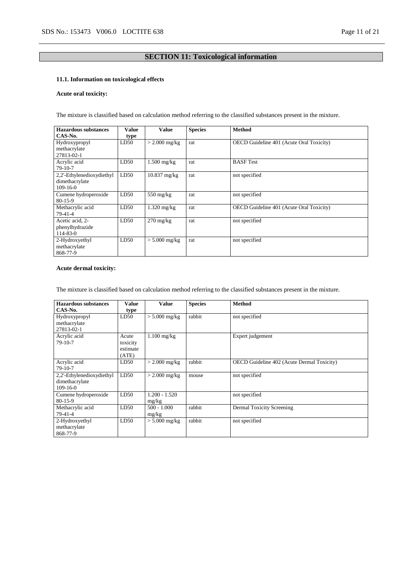# **SECTION 11: Toxicological information**

# **11.1. Information on toxicological effects**

# **Acute oral toxicity:**

The mixture is classified based on calculation method referring to the classified substances present in the mixture.

| <b>Hazardous substances</b> | Value | <b>Value</b>          | <b>Species</b> | <b>Method</b>                                   |
|-----------------------------|-------|-----------------------|----------------|-------------------------------------------------|
| CAS-No.                     | type  |                       |                |                                                 |
| Hydroxypropyl               | LD50  | $>$ 2.000 mg/kg       | rat            | OECD Guideline 401 (Acute Oral Toxicity)        |
| methacrylate                |       |                       |                |                                                 |
| 27813-02-1                  |       |                       |                |                                                 |
| Acrylic acid                | LD50  | $1.500$ mg/kg         | rat            | <b>BASF</b> Test                                |
| $79-10-7$                   |       |                       |                |                                                 |
| 2,2'-Ethylenedioxydiethyl   | LD50  | $10.837$ mg/kg        | rat            | not specified                                   |
| dimethacrylate              |       |                       |                |                                                 |
| $109-16-0$                  |       |                       |                |                                                 |
| Cumene hydroperoxide        | LD50  | $550 \text{ mg/kg}$   | rat            | not specified                                   |
| $80 - 15 - 9$               |       |                       |                |                                                 |
| Methacrylic acid            | LD50  | $1.320 \text{ mg/kg}$ | rat            | <b>OECD</b> Guideline 401 (Acute Oral Toxicity) |
| 79-41-4                     |       |                       |                |                                                 |
| Acetic acid, 2-             | LD50  | $270 \text{ mg/kg}$   | rat            | not specified                                   |
| phenylhydrazide             |       |                       |                |                                                 |
| 114-83-0                    |       |                       |                |                                                 |
| 2-Hydroxyethyl              | LD50  | $> 5.000$ mg/kg       | rat            | not specified                                   |
| methacrylate                |       |                       |                |                                                 |
| 868-77-9                    |       |                       |                |                                                 |

# **Acute dermal toxicity:**

The mixture is classified based on calculation method referring to the classified substances present in the mixture.

| Hazardous substances      |          |                 |                |                                                   |
|---------------------------|----------|-----------------|----------------|---------------------------------------------------|
| CAS-No.                   | Value    | <b>Value</b>    | <b>Species</b> | <b>Method</b>                                     |
|                           | type     |                 |                |                                                   |
| Hydroxypropyl             | LD50     | $> 5.000$ mg/kg | rabbit         | not specified                                     |
| methacrylate              |          |                 |                |                                                   |
| 27813-02-1                |          |                 |                |                                                   |
| Acrylic acid              | Acute    | $1.100$ mg/kg   |                | Expert judgement                                  |
| 79-10-7                   | toxicity |                 |                |                                                   |
|                           | estimate |                 |                |                                                   |
|                           | (ATE)    |                 |                |                                                   |
| Acrylic acid              | LD50     | $> 2.000$ mg/kg | rabbit         | <b>OECD</b> Guideline 402 (Acute Dermal Toxicity) |
| $79-10-7$                 |          |                 |                |                                                   |
| 2,2'-Ethylenedioxydiethyl | LD50     | $> 2.000$ mg/kg | mouse          | not specified                                     |
| dimethacrylate            |          |                 |                |                                                   |
| $109-16-0$                |          |                 |                |                                                   |
| Cumene hydroperoxide      | LD50     | $1.200 - 1.520$ |                | not specified                                     |
| $80 - 15 - 9$             |          | mg/kg           |                |                                                   |
| Methacrylic acid          | LD50     | $500 - 1.000$   | rabbit         | Dermal Toxicity Screening                         |
| 79-41-4                   |          | mg/kg           |                |                                                   |
| 2-Hydroxyethyl            | LD50     | $> 5.000$ mg/kg | rabbit         | not specified                                     |
| methacrylate              |          |                 |                |                                                   |
| 868-77-9                  |          |                 |                |                                                   |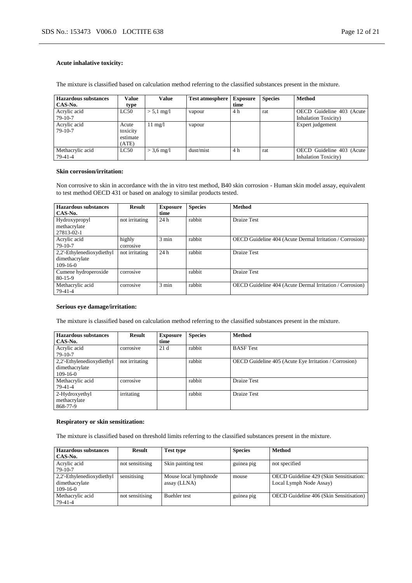# **Acute inhalative toxicity:**

The mixture is classified based on calculation method referring to the classified substances present in the mixture.

| <b>Hazardous substances</b> | Value    | Value                   | <b>Test atmosphere</b> | <b>Exposure</b> | <b>Species</b> | <b>Method</b>                |
|-----------------------------|----------|-------------------------|------------------------|-----------------|----------------|------------------------------|
| CAS-No.                     | type     |                         |                        | time            |                |                              |
| Acrylic acid                | LC50     | $> 5.1$ mg/l            | vapour                 | 4 h             | rat            | OECD Guideline 403 (Acute    |
| $79-10-7$                   |          |                         |                        |                 |                | <b>Inhalation Toxicity</b> ) |
| Acrylic acid                | Acute    | $1 \text{ mg}/\text{l}$ | vapour                 |                 |                | Expert judgement             |
| $79-10-7$                   | toxicity |                         |                        |                 |                |                              |
|                             | estimate |                         |                        |                 |                |                              |
|                             | (ATE)    |                         |                        |                 |                |                              |
| Methacrylic acid            | LC50     | $> 3.6$ mg/l            | dust/mist              | 4 h             | rat            | OECD Guideline 403 (Acute    |
| $79-41-4$                   |          |                         |                        |                 |                | <b>Inhalation Toxicity</b> ) |

#### **Skin corrosion/irritation:**

Non corrosive to skin in accordance with the in vitro test method, B40 skin corrosion - Human skin model assay, equivalent to test method OECD 431 or based on analogy to similar products tested.

| <b>Hazardous</b> substances | <b>Result</b>  | <b>Exposure</b> | <b>Species</b> | <b>Method</b>                                            |
|-----------------------------|----------------|-----------------|----------------|----------------------------------------------------------|
| CAS-No.                     |                | time            |                |                                                          |
| Hydroxypropyl               | not irritating | 24h             | rabbit         | <b>Draize Test</b>                                       |
| methacrylate                |                |                 |                |                                                          |
| 27813-02-1                  |                |                 |                |                                                          |
| Acrylic acid                | highly         | $3 \text{ min}$ | rabbit         | OECD Guideline 404 (Acute Dermal Irritation / Corrosion) |
| $79-10-7$                   | corrosive      |                 |                |                                                          |
| 2,2'-Ethylenedioxydiethyl   | not irritating | 24h             | rabbit         | Draize Test                                              |
| dimethacrylate              |                |                 |                |                                                          |
| $109-16-0$                  |                |                 |                |                                                          |
| Cumene hydroperoxide        | corrosive      |                 | rabbit         | Draize Test                                              |
| $80-15-9$                   |                |                 |                |                                                          |
| Methacrylic acid            | corrosive      | $3 \text{ min}$ | rabbit         | OECD Guideline 404 (Acute Dermal Irritation / Corrosion) |
| $79-41-4$                   |                |                 |                |                                                          |

#### **Serious eye damage/irritation:**

The mixture is classified based on calculation method referring to the classified substances present in the mixture.

| <b>Hazardous substances</b><br>CAS-No.                    | <b>Result</b>  | <b>Exposure</b><br>time | <b>Species</b> | <b>Method</b>                                         |
|-----------------------------------------------------------|----------------|-------------------------|----------------|-------------------------------------------------------|
| Acrylic acid<br>$79-10-7$                                 | corrosive      | 21d                     | rabbit         | <b>BASF</b> Test                                      |
| 2,2'-Ethylenedioxydiethyl<br>dimethacrylate<br>$109-16-0$ | not irritating |                         | rabbit         | OECD Guideline 405 (Acute Eye Irritation / Corrosion) |
| Methacrylic acid<br>79-41-4                               | corrosive      |                         | rabbit         | <b>Draize Test</b>                                    |
| 2-Hydroxyethyl<br>methacrylate<br>868-77-9                | irritating     |                         | rabbit         | Draize Test                                           |

# **Respiratory or skin sensitization:**

The mixture is classified based on threshold limits referring to the classified substances present in the mixture.

| <b>Hazardous substances</b><br>CAS-No.                    | <b>Result</b>   | <b>Test type</b>                      | <b>Species</b> | <b>Method</b>                                                      |
|-----------------------------------------------------------|-----------------|---------------------------------------|----------------|--------------------------------------------------------------------|
| Acrylic acid<br>$79-10-7$                                 | not sensitising | Skin painting test                    | guinea pig     | not specified                                                      |
| 2,2'-Ethylenedioxydiethyl<br>dimethacrylate<br>$109-16-0$ | sensitising     | Mouse local lymphnode<br>assay (LLNA) | mouse          | OECD Guideline 429 (Skin Sensitisation:<br>Local Lymph Node Assay) |
| Methacrylic acid<br>79-41-4                               | not sensitising | <b>Buehler</b> test                   | guinea pig     | OECD Guideline 406 (Skin Sensitisation)                            |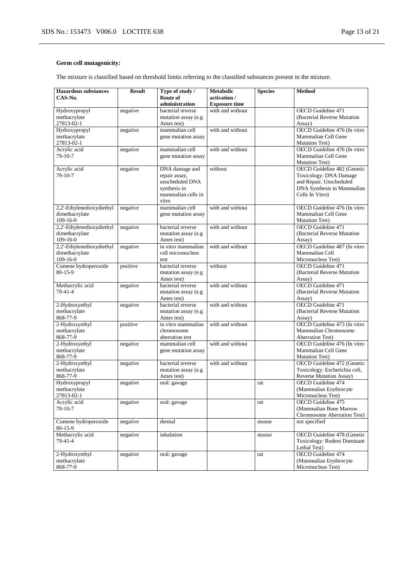# **Germ cell mutagenicity:**

The mixture is classified based on threshold limits referring to the classified substances present in the mixture.

| <b>Hazardous</b> substances    | <b>Result</b> | Type of study /                    | <b>Metabolic</b>     | <b>Species</b> | <b>Method</b>                                                   |
|--------------------------------|---------------|------------------------------------|----------------------|----------------|-----------------------------------------------------------------|
| CAS-No.                        |               | Route of                           | activation /         |                |                                                                 |
|                                |               | administration                     | <b>Exposure time</b> |                |                                                                 |
| Hydroxypropyl                  | negative      | bacterial reverse                  | with and without     |                | <b>OECD</b> Guideline 471                                       |
| methacrylate                   |               | mutation assay (e.g                |                      |                | (Bacterial Reverse Mutation                                     |
| 27813-02-1                     |               | Ames test)                         |                      |                | Assay)                                                          |
| Hydroxypropyl                  | negative      | mammalian cell                     | with and without     |                | OECD Guideline 476 (In vitro                                    |
| methacrylate                   |               | gene mutation assay                |                      |                | Mammalian Cell Gene                                             |
| 27813-02-1                     |               |                                    |                      |                | Mutation Test)                                                  |
| Acrylic acid                   | negative      | mammalian cell                     | with and without     |                | OECD Guideline 476 (In vitro                                    |
| 79-10-7                        |               | gene mutation assay                |                      |                | Mammalian Cell Gene                                             |
|                                |               |                                    |                      |                | <b>Mutation Test)</b>                                           |
| Acrylic acid                   | negative      | DNA damage and                     | without              |                | OECD Guideline 482 (Genetic                                     |
| 79-10-7                        |               | repair assay,                      |                      |                | Toxicology: DNA Damage                                          |
|                                |               | unscheduled DNA                    |                      |                | and Repair, Unscheduled                                         |
|                                |               | synthesis in                       |                      |                | DNA Synthesis in Mammalian                                      |
|                                |               | mammalian cells in                 |                      |                | Cells In Vitro)                                                 |
|                                |               | vitro                              |                      |                |                                                                 |
| 2,2'-Ethylenedioxydiethyl      | negative      | mammalian cell                     | with and without     |                | OECD Guideline 476 (In vitro                                    |
| dimethacrylate                 |               | gene mutation assay                |                      |                | Mammalian Cell Gene                                             |
| 109-16-0                       |               |                                    |                      |                | <b>Mutation Test)</b>                                           |
| 2,2'-Ethylenedioxydiethyl      | negative      | bacterial reverse                  | with and without     |                | OECD Guideline 471                                              |
| dimethacrylate                 |               | mutation assay (e.g                |                      |                | (Bacterial Reverse Mutation                                     |
| $109 - 16 - 0$                 |               | Ames test)                         |                      |                | Assay)                                                          |
| 2,2'-Ethylenedioxydiethyl      | negative      | in vitro mammalian                 | with and without     |                | OECD Guideline 487 (In vitro                                    |
| dimethacrylate                 |               | cell micronucleus                  |                      |                | Mammalian Cell                                                  |
| 109-16-0                       |               | test                               |                      |                | Micronucleus Test)                                              |
| Cumene hydroperoxide           | positive      | bacterial reverse                  | without              |                | <b>OECD</b> Guideline 471                                       |
| $80 - 15 - 9$                  |               | mutation assay (e.g.               |                      |                | (Bacterial Reverse Mutation                                     |
|                                |               | Ames test)                         |                      |                | Assay)                                                          |
| Methacrylic acid               | negative      | bacterial reverse                  | with and without     |                | <b>OECD</b> Guideline 471                                       |
| 79-41-4                        |               | mutation assay (e.g                |                      |                | (Bacterial Reverse Mutation                                     |
|                                |               | Ames test)                         |                      |                | Assay)                                                          |
| 2-Hydroxyethyl                 | negative      | bacterial reverse                  | with and without     |                | OECD Guideline 471                                              |
| methacrylate                   |               | mutation assay (e.g.               |                      |                | (Bacterial Reverse Mutation                                     |
| 868-77-9                       |               | Ames test)                         |                      |                | Assay)                                                          |
| 2-Hydroxyethyl                 | positive      | in vitro mammalian                 | with and without     |                | OECD Guideline 473 (In vitro                                    |
| methacrylate                   |               | chromosome                         |                      |                | Mammalian Chromosome                                            |
| 868-77-9                       |               | aberration test                    |                      |                | <b>Aberration Test)</b>                                         |
| 2-Hydroxyethyl                 | negative      | mammalian cell                     | with and without     |                | OECD Guideline 476 (In vitro                                    |
| methacrylate                   |               | gene mutation assay                |                      |                | Mammalian Cell Gene<br><b>Mutation Test)</b>                    |
| 868-77-9                       |               |                                    | with and without     |                |                                                                 |
| 2-Hydroxyethyl<br>methacrylate | negative      | bacterial reverse                  |                      |                | OECD Guideline 472 (Genetic                                     |
| 868-77-9                       |               | mutation assay (e.g.<br>Ames test) |                      |                | Toxicology: Escherichia coli,<br><b>Reverse Mutation Assay)</b> |
| Hydroxypropyl                  | negative      | oral: gavage                       |                      | rat            | OECD Guideline 474                                              |
| methacrylate                   |               |                                    |                      |                | (Mammalian Erythrocyte                                          |
| 27813-02-1                     |               |                                    |                      |                | Micronucleus Test)                                              |
| Acrylic acid                   | negative      | oral: gavage                       |                      | rat            | OECD Guideline 475                                              |
| $79-10-7$                      |               |                                    |                      |                | (Mammalian Bone Marrow                                          |
|                                |               |                                    |                      |                | Chromosome Aberration Test)                                     |
| Cumene hydroperoxide           | negative      | dermal                             |                      | mouse          | not specified                                                   |
| $80-15-9$                      |               |                                    |                      |                |                                                                 |
| Methacrylic acid               | negative      | inhalation                         |                      | mouse          | OECD Guideline 478 (Genetic                                     |
| 79-41-4                        |               |                                    |                      |                | Toxicology: Rodent Dominant                                     |
|                                |               |                                    |                      |                | Lethal Test)                                                    |
| 2-Hydroxyethyl                 | negative      | oral: gavage                       |                      | rat            | OECD Guideline 474                                              |
| methacrylate                   |               |                                    |                      |                | (Mammalian Erythrocyte                                          |
| 868-77-9                       |               |                                    |                      |                | Micronucleus Test)                                              |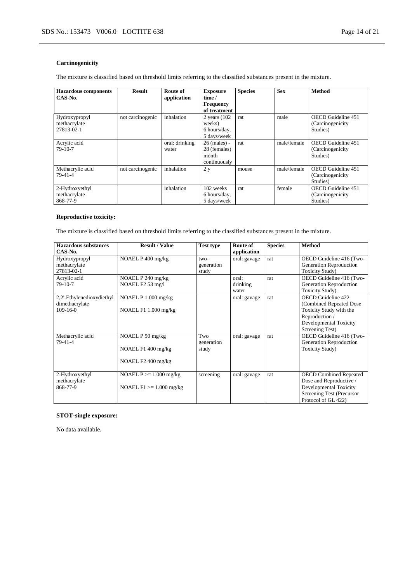# **Carcinogenicity**

The mixture is classified based on threshold limits referring to the classified substances present in the mixture.

| <b>Hazardous components</b><br>CAS-No.      | <b>Result</b>    | Route of<br>application | <b>Exposure</b><br>time /<br><b>Frequency</b><br>of treatment | <b>Species</b> | <b>Sex</b>  | <b>Method</b>                                       |
|---------------------------------------------|------------------|-------------------------|---------------------------------------------------------------|----------------|-------------|-----------------------------------------------------|
| Hydroxypropyl<br>methacrylate<br>27813-02-1 | not carcinogenic | inhalation              | 2 years $(102)$<br>weeks)<br>6 hours/day,<br>5 days/week      | rat            | male        | OECD Guideline 451<br>(Carcinogenicity)<br>Studies) |
| Acrylic acid<br>$79-10-7$                   |                  | oral: drinking<br>water | $26$ (males) -<br>28 (females)<br>month<br>continuously       | rat            | male/female | OECD Guideline 451<br>(Carcinogenicity)<br>Studies) |
| Methacrylic acid<br>$79-41-4$               | not carcinogenic | inhalation              | 2 <sub>v</sub>                                                | mouse          | male/female | OECD Guideline 451<br>(Carcinogenicity)<br>Studies) |
| 2-Hydroxyethyl<br>methacrylate<br>868-77-9  |                  | inhalation              | 102 weeks<br>6 hours/day,<br>5 days/week                      | rat            | female      | OECD Guideline 451<br>(Carcinogenicity)<br>Studies) |

# **Reproductive toxicity:**

The mixture is classified based on threshold limits referring to the classified substances present in the mixture.

| <b>Hazardous substances</b> | <b>Result / Value</b>      | <b>Test type</b> | Route of     | <b>Species</b> | <b>Method</b>                 |
|-----------------------------|----------------------------|------------------|--------------|----------------|-------------------------------|
| CAS-No.                     |                            |                  | application  |                |                               |
| Hydroxypropyl               | NOAEL P 400 mg/kg          | $two-$           | oral: gavage | rat            | OECD Guideline 416 (Two-      |
| methacrylate                |                            | generation       |              |                | Generation Reproduction       |
| 27813-02-1                  |                            | study            |              |                | <b>Toxicity Study)</b>        |
| Acrylic acid                | NOAEL P 240 mg/kg          |                  | oral:        | rat            | OECD Guideline 416 (Two-      |
| 79-10-7                     | NOAEL F2 53 mg/l           |                  | drinking     |                | Generation Reproduction       |
|                             |                            |                  | water        |                | <b>Toxicity Study</b> )       |
| 2,2'-Ethylenedioxydiethyl   | NOAEL $P$ 1.000 mg/kg      |                  | oral: gavage | rat            | OECD Guideline 422            |
| dimethacrylate              |                            |                  |              |                | (Combined Repeated Dose)      |
| $109-16-0$                  | NOAEL F1 1.000 mg/kg       |                  |              |                | Toxicity Study with the       |
|                             |                            |                  |              |                | Reproduction /                |
|                             |                            |                  |              |                | Developmental Toxicity        |
|                             |                            |                  |              |                | Screening Test)               |
| Methacrylic acid            | NOAEL P 50 mg/kg           | Two              | oral: gavage | rat            | OECD Guideline 416 (Two-      |
| 79-41-4                     |                            | generation       |              |                | Generation Reproduction       |
|                             | NOAEL F1 400 mg/kg         | study            |              |                | <b>Toxicity Study</b> )       |
|                             |                            |                  |              |                |                               |
|                             | NOAEL F2 400 mg/kg         |                  |              |                |                               |
|                             |                            |                  |              |                |                               |
| 2-Hydroxyethyl              | NOAEL $P \ge 1.000$ mg/kg  | screening        | oral: gavage | rat            | <b>OECD Combined Repeated</b> |
| methacrylate                |                            |                  |              |                | Dose and Reproductive /       |
| 868-77-9                    | NOAEL $F1 \ge 1.000$ mg/kg |                  |              |                | Developmental Toxicity        |
|                             |                            |                  |              |                | Screening Test (Precursor     |
|                             |                            |                  |              |                | Protocol of GL 422)           |

# **STOT-single exposure:**

No data available.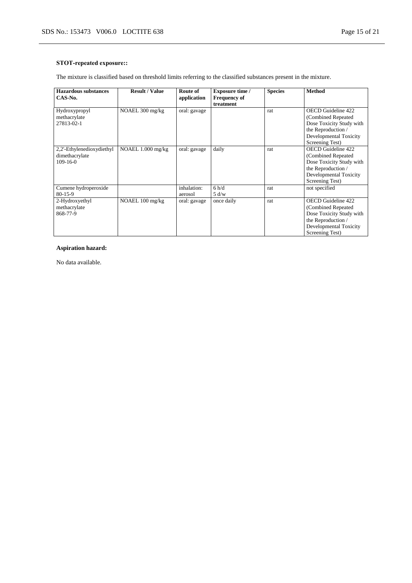# **STOT-repeated exposure::**

The mixture is classified based on threshold limits referring to the classified substances present in the mixture.

| <b>Hazardous substances</b><br>CAS-No.                    | <b>Result / Value</b> | Route of<br>application | <b>Exposure time /</b><br><b>Frequency of</b><br>treatment | <b>Species</b> | <b>Method</b>                                                                                                                            |
|-----------------------------------------------------------|-----------------------|-------------------------|------------------------------------------------------------|----------------|------------------------------------------------------------------------------------------------------------------------------------------|
| Hydroxypropyl<br>methacrylate<br>27813-02-1               | NOAEL 300 mg/kg       | oral: gavage            |                                                            | rat            | OECD Guideline 422<br>(Combined Repeated)<br>Dose Toxicity Study with<br>the Reproduction /<br>Developmental Toxicity<br>Screening Test) |
| 2,2'-Ethylenedioxydiethyl<br>dimethacrylate<br>$109-16-0$ | NOAEL 1.000 mg/kg     | oral: gavage            | daily                                                      | rat            | OECD Guideline 422<br>(Combined Repeated)<br>Dose Toxicity Study with<br>the Reproduction /<br>Developmental Toxicity<br>Screening Test) |
| Cumene hydroperoxide<br>$80 - 15 - 9$                     |                       | inhalation:<br>aerosol  | 6 h/d<br>5 d/w                                             | rat            | not specified                                                                                                                            |
| 2-Hydroxyethyl<br>methacrylate<br>868-77-9                | NOAEL 100 mg/kg       | oral: gavage            | once daily                                                 | rat            | OECD Guideline 422<br>(Combined Repeated)<br>Dose Toxicity Study with<br>the Reproduction /<br>Developmental Toxicity<br>Screening Test) |

# **Aspiration hazard:**

No data available.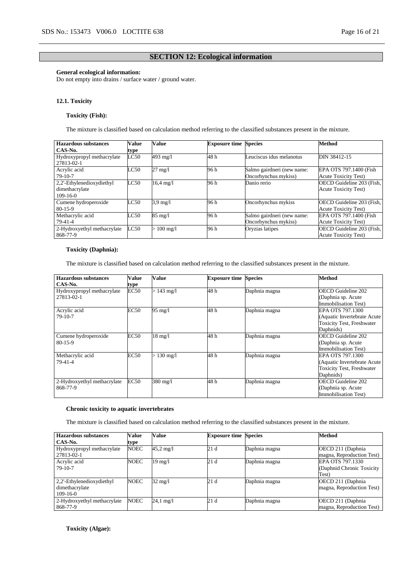# **SECTION 12: Ecological information**

# **General ecological information:**

Do not empty into drains / surface water / ground water.

#### **12.1. Toxicity**

# **Toxicity (Fish):**

The mixture is classified based on calculation method referring to the classified substances present in the mixture.

| <b>Hazardous substances</b> | Value | Value               | <b>Exposure time Species</b> |                            | <b>Method</b>               |
|-----------------------------|-------|---------------------|------------------------------|----------------------------|-----------------------------|
| CAS-No.                     | type  |                     |                              |                            |                             |
| Hydroxypropyl methacrylate  | LC50  | 493 mg/l            | 48 h                         | Leuciscus idus melanotus   | DIN 38412-15                |
| 27813-02-1                  |       |                     |                              |                            |                             |
| Acrylic acid                | LC50  | $27 \text{ mg}/1$   | 96 h                         | Salmo gairdneri (new name: | EPA OTS 797.1400 (Fish      |
| $79-10-7$                   |       |                     |                              | Oncorhynchus mykiss)       | <b>Acute Toxicity Test)</b> |
| 2,2'-Ethylenedioxydiethyl   | LC50  | $16.4 \text{ mg}/1$ | 96 h                         | Danio rerio                | OECD Guideline 203 (Fish,   |
| dimethacrylate              |       |                     |                              |                            | <b>Acute Toxicity Test)</b> |
| $109-16-0$                  |       |                     |                              |                            |                             |
| Cumene hydroperoxide        | LC50  | $3.9 \text{ mg}/l$  | 96 h                         | Oncorhynchus mykiss        | OECD Guideline 203 (Fish,   |
| $80-15-9$                   |       |                     |                              |                            | <b>Acute Toxicity Test)</b> |
| Methacrylic acid            | LC50  | $85 \text{ mg}/1$   | 96 h                         | Salmo gairdneri (new name: | EPA OTS 797.1400 (Fish      |
| $79-41-4$                   |       |                     |                              | Oncorhynchus mykiss)       | <b>Acute Toxicity Test)</b> |
| 2-Hydroxyethyl methacrylate | LC50  | $100$ mg/l          | 96 h                         | Oryzias latipes            | OECD Guideline 203 (Fish,   |
| 868-77-9                    |       |                     |                              |                            | <b>Acute Toxicity Test)</b> |

# **Toxicity (Daphnia):**

The mixture is classified based on calculation method referring to the classified substances present in the mixture.

| Hazardous substances        | Value       | Value              | <b>Exposure time Species</b> |               | <b>Method</b>                    |
|-----------------------------|-------------|--------------------|------------------------------|---------------|----------------------------------|
| CAS-No.                     | type        |                    |                              |               |                                  |
| Hydroxypropyl methacrylate  | EC50        | $> 143$ mg/l       | 48 h                         | Daphnia magna | <b>OECD</b> Guideline 202        |
| 27813-02-1                  |             |                    |                              |               | (Daphnia sp. Acute)              |
|                             |             |                    |                              |               | Immobilisation Test)             |
| Acrylic acid                | <b>EC50</b> | $95 \text{ mg}/1$  | 48 h                         | Daphnia magna | EPA OTS 797.1300                 |
| $79-10-7$                   |             |                    |                              |               | (Aquatic Invertebrate Acute)     |
|                             |             |                    |                              |               | <b>Toxicity Test, Freshwater</b> |
|                             |             |                    |                              |               | Daphnids)                        |
| Cumene hydroperoxide        | EC50        | $18 \text{ mg}/l$  | 48 h                         | Daphnia magna | <b>OECD</b> Guideline 202        |
| $80 - 15 - 9$               |             |                    |                              |               | (Daphnia sp. Acute)              |
|                             |             |                    |                              |               | Immobilisation Test)             |
| Methacrylic acid            | <b>EC50</b> | $130 \text{ mg}/1$ | 48 h                         | Daphnia magna | EPA OTS 797.1300                 |
| $79 - 41 - 4$               |             |                    |                              |               | (Aquatic Invertebrate Acute)     |
|                             |             |                    |                              |               | <b>Toxicity Test, Freshwater</b> |
|                             |             |                    |                              |               | Daphnids)                        |
| 2-Hydroxyethyl methacrylate | <b>EC50</b> | 380 mg/l           | 48 h                         | Daphnia magna | <b>OECD</b> Guideline 202        |
| 868-77-9                    |             |                    |                              |               | (Daphnia sp. Acute)              |
|                             |             |                    |                              |               | Immobilisation Test)             |

# **Chronic toxicity to aquatic invertebrates**

The mixture is classified based on calculation method referring to the classified substances present in the mixture.

| Hazardous substances        | Value       | Value               | <b>Exposure time Species</b> |               | <b>Method</b>              |
|-----------------------------|-------------|---------------------|------------------------------|---------------|----------------------------|
| CAS-No.                     | type        |                     |                              |               |                            |
| Hydroxypropyl methacrylate  | <b>NOEC</b> | $45.2 \text{ mg}/1$ | 21d                          | Daphnia magna | OECD 211 (Daphnia)         |
| 27813-02-1                  |             |                     |                              |               | magna, Reproduction Test)  |
| Acrylic acid                | <b>NOEC</b> | $19 \text{ mg}/l$   | 21d                          | Daphnia magna | EPA OTS 797.1330           |
| $79-10-7$                   |             |                     |                              |               | (Daphnid Chronic Toxicity) |
|                             |             |                     |                              |               | Test)                      |
| 2,2'-Ethylenedioxydiethyl   | <b>NOEC</b> | 32 mg/l             | 21d                          | Daphnia magna | OECD 211 (Daphnia          |
| dimethacrylate              |             |                     |                              |               | magna, Reproduction Test)  |
| $109-16-0$                  |             |                     |                              |               |                            |
| 2-Hydroxyethyl methacrylate | <b>NOEC</b> | 24,1 mg/l           | 21d                          | Daphnia magna | OECD 211 (Daphnia          |
| 868-77-9                    |             |                     |                              |               | magna, Reproduction Test)  |

**Toxicity (Algae):**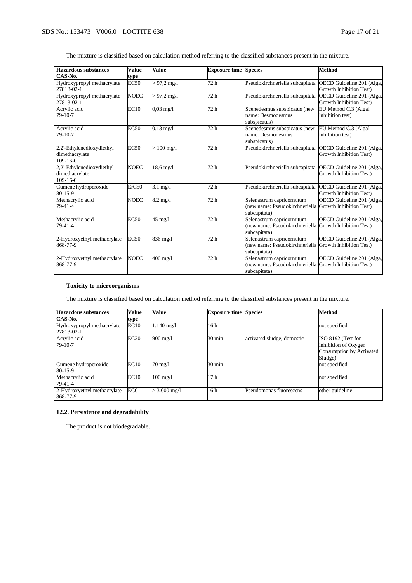| <b>Hazardous substances</b>  | <b>Value</b> | <b>Value</b>          | <b>Exposure time Species</b> |                                                           | <b>Method</b>             |
|------------------------------|--------------|-----------------------|------------------------------|-----------------------------------------------------------|---------------------------|
| CAS-No.                      | type         |                       |                              |                                                           |                           |
| Hydroxypropyl methacrylate   | <b>EC50</b>  | $> 97,2 \text{ mg}/1$ | 72 h                         | Pseudokirchneriella subcapitata                           | OECD Guideline 201 (Alga, |
| 27813-02-1                   |              |                       |                              |                                                           | Growth Inhibition Test)   |
| Hydroxypropyl methacrylate   | <b>NOEC</b>  | $> 97.2$ mg/l         | 72 h                         | Pseudokirchneriella subcapitata OECD Guideline 201 (Alga, |                           |
| 27813-02-1                   |              |                       |                              |                                                           | Growth Inhibition Test)   |
| Acrylic acid                 | EC10         | $0.03 \text{ mg}/1$   | 72 h                         | Scenedesmus subspicatus (new                              | EU Method C.3 (Algal      |
| $79-10-7$                    |              |                       |                              | name: Desmodesmus                                         | Inhibition test)          |
|                              |              |                       |                              | subspicatus)                                              |                           |
| Acrylic acid                 | <b>EC50</b>  | $0,13 \text{ mg}/1$   | 72 <sub>h</sub>              | Scenedesmus subspicatus (new                              | EU Method C.3 (Algal      |
| 79-10-7                      |              |                       |                              | name: Desmodesmus                                         | Inhibition test)          |
|                              |              |                       |                              | subspicatus)                                              |                           |
| 2,2'-Ethylenedioxydiethyl    | <b>EC50</b>  | $> 100 \text{ mg/l}$  | 72 <sub>h</sub>              | Pseudokirchneriella subcapitata OECD Guideline 201 (Alga, |                           |
| dimethacrylate               |              |                       |                              |                                                           | Growth Inhibition Test)   |
| $109-16-0$                   |              |                       |                              |                                                           |                           |
| 2,2'-Ethylenedioxydiethyl    | <b>NOEC</b>  | 18,6 mg/l             | 72 h                         | Pseudokirchneriella subcapitata                           | OECD Guideline 201 (Alga, |
| dimethacrylate<br>$109-16-0$ |              |                       |                              |                                                           | Growth Inhibition Test)   |
| Cumene hydroperoxide         | ErC50        | $3,1 \text{ mg}/1$    | 72 <sub>h</sub>              | Pseudokirchneriella subcapitata                           | OECD Guideline 201 (Alga, |
| $80 - 15 - 9$                |              |                       |                              |                                                           | Growth Inhibition Test)   |
| Methacrylic acid             | <b>NOEC</b>  | $8,2$ mg/l            | 72 <sub>h</sub>              | Selenastrum capricornutum                                 | OECD Guideline 201 (Alga, |
| $79 - 41 - 4$                |              |                       |                              | (new name: Pseudokirchneriella Growth Inhibition Test)    |                           |
|                              |              |                       |                              | subcapitata)                                              |                           |
| Methacrylic acid             | EC50         | $45 \text{ mg}/l$     | 72h                          | Selenastrum capricornutum                                 | OECD Guideline 201 (Alga, |
| 79-41-4                      |              |                       |                              | (new name: Pseudokirchneriella Growth Inhibition Test)    |                           |
|                              |              |                       |                              | subcapitata)                                              |                           |
| 2-Hydroxyethyl methacrylate  | EC50         | $836 \text{ mg}/l$    | 72 h                         | Selenastrum capricornutum                                 | OECD Guideline 201 (Alga, |
| 868-77-9                     |              |                       |                              | (new name: Pseudokirchneriella Growth Inhibition Test)    |                           |
|                              |              |                       |                              | subcapitata)                                              |                           |
| 2-Hydroxyethyl methacrylate  | <b>NOEC</b>  | $400$ mg/l            | 72h                          | Selenastrum capricornutum                                 | OECD Guideline 201 (Alga, |
| 868-77-9                     |              |                       |                              | (new name: Pseudokirchneriella Growth Inhibition Test)    |                           |
|                              |              |                       |                              | subcapitata)                                              |                           |

The mixture is classified based on calculation method referring to the classified substances present in the mixture.

# **Toxicity to microorganisms**

The mixture is classified based on calculation method referring to the classified substances present in the mixture.

| <b>Hazardous substances</b><br>CAS-No.   | Value<br>type   | Value              | <b>Exposure time Species</b> |                            | <b>Method</b>                                                                     |
|------------------------------------------|-----------------|--------------------|------------------------------|----------------------------|-----------------------------------------------------------------------------------|
| Hydroxypropyl methacrylate<br>27813-02-1 | EC10            | $1.140$ mg/l       | 16 h                         |                            | not specified                                                                     |
| Acrylic acid<br>$79-10-7$                | EC20            | 900 mg/l           | 30 min                       | activated sludge, domestic | ISO 8192 (Test for<br>Inhibition of Oxygen<br>Consumption by Activated<br>Sludge) |
| Cumene hydroperoxide<br>$80-15-9$        | EC10            | 70 mg/l            | 30 min                       |                            | not specified                                                                     |
| Methacrylic acid<br>79-41-4              | EC10            | $100 \text{ mg}/1$ | 17 <sub>h</sub>              |                            | not specified                                                                     |
| 2-Hydroxyethyl methacrylate<br>868-77-9  | EC <sub>0</sub> | $> 3.000$ mg/l     | 16 h                         | Pseudomonas fluorescens    | other guideline:                                                                  |

# **12.2. Persistence and degradability**

The product is not biodegradable.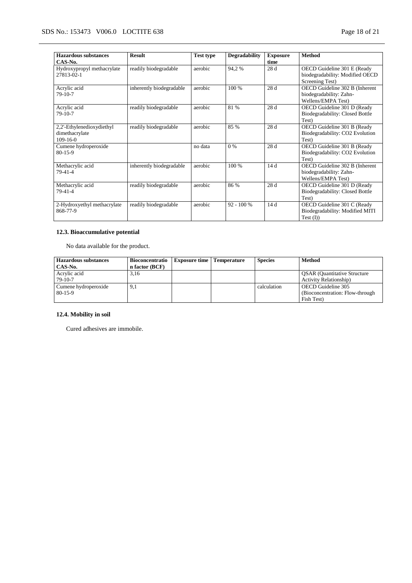| <b>Hazardous substances</b> | <b>Result</b>            | <b>Test type</b> | <b>Degradability</b> | <b>Exposure</b> | <b>Method</b>                   |
|-----------------------------|--------------------------|------------------|----------------------|-----------------|---------------------------------|
| CAS-No.                     |                          |                  |                      | time            |                                 |
| Hydroxypropyl methacrylate  | readily biodegradable    | aerobic          | 94,2%                | 28 d            | OECD Guideline 301 E (Ready     |
| 27813-02-1                  |                          |                  |                      |                 | biodegradability: Modified OECD |
|                             |                          |                  |                      |                 | Screening Test)                 |
| Acrylic acid                | inherently biodegradable | aerobic          | 100 %                | 28d             | OECD Guideline 302 B (Inherent  |
| $79-10-7$                   |                          |                  |                      |                 | biodegradability: Zahn-         |
|                             |                          |                  |                      |                 | Wellens/EMPA Test)              |
| Acrylic acid                | readily biodegradable    | aerobic          | 81 %                 | 28 d            | OECD Guideline 301 D (Ready     |
| $79-10-7$                   |                          |                  |                      |                 | Biodegradability: Closed Bottle |
|                             |                          |                  |                      |                 | Test)                           |
| 2,2'-Ethylenedioxydiethyl   | readily biodegradable    | aerobic          | 85 %                 | 28d             | OECD Guideline 301 B (Ready     |
| dimethacrylate              |                          |                  |                      |                 | Biodegradability: CO2 Evolution |
| $109 - 16 - 0$              |                          |                  |                      |                 | Test)                           |
| Cumene hydroperoxide        |                          | no data          | 0 %                  | 28 d            | OECD Guideline 301 B (Ready     |
| $80 - 15 - 9$               |                          |                  |                      |                 | Biodegradability: CO2 Evolution |
|                             |                          |                  |                      |                 | Test)                           |
| Methacrylic acid            | inherently biodegradable | aerobic          | 100 %                | 14 d            | OECD Guideline 302 B (Inherent  |
| 79-41-4                     |                          |                  |                      |                 | biodegradability: Zahn-         |
|                             |                          |                  |                      |                 | Wellens/EMPA Test)              |
| Methacrylic acid            | readily biodegradable    | aerobic          | 86 %                 | 28 d            | OECD Guideline 301 D (Ready     |
| $79-41-4$                   |                          |                  |                      |                 | Biodegradability: Closed Bottle |
|                             |                          |                  |                      |                 | Test)                           |
| 2-Hydroxyethyl methacrylate | readily biodegradable    | aerobic          | $92 - 100 %$         | 14d             | OECD Guideline 301 C (Ready     |
| 868-77-9                    |                          |                  |                      |                 | Biodegradability: Modified MITI |
|                             |                          |                  |                      |                 | Test (I))                       |

# **12.3. Bioaccumulative potential**

No data available for the product.

| <b>Hazardous substances</b> | Bioconcentratio | <b>Exposure time</b>   Temperature | <b>Species</b> | <b>Method</b>                       |
|-----------------------------|-----------------|------------------------------------|----------------|-------------------------------------|
| CAS-No.                     | n factor (BCF)  |                                    |                |                                     |
| Acrylic acid                | 3.16            |                                    |                | <b>QSAR</b> (Quantitative Structure |
| 79-10-7                     |                 |                                    |                | <b>Activity Relationship</b> )      |
| Cumene hydroperoxide        | 9,1             |                                    | calculation    | OECD Guideline 305                  |
| $80-15-9$                   |                 |                                    |                | (Bioconcentration: Flow-through)    |
|                             |                 |                                    |                | Fish Test)                          |

# **12.4. Mobility in soil**

Cured adhesives are immobile.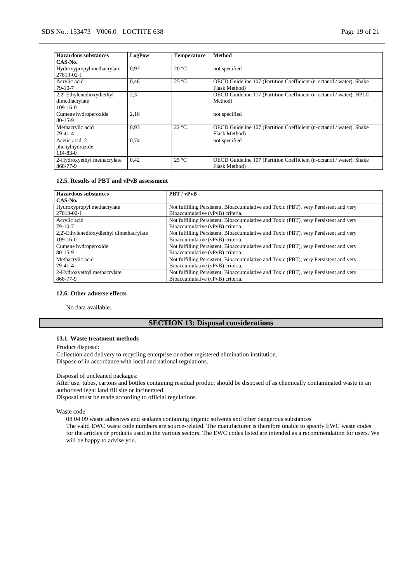| Hazardous substances        | LogPow | <b>Temperature</b> | <b>Method</b>                                                        |
|-----------------------------|--------|--------------------|----------------------------------------------------------------------|
| CAS-No.                     |        |                    |                                                                      |
| Hydroxypropyl methacrylate  | 0.97   | $20^{\circ}$ C     | not specified                                                        |
| 27813-02-1                  |        |                    |                                                                      |
| Acrylic acid                | 0,46   | $25^{\circ}$ C     | OECD Guideline 107 (Partition Coefficient (n-octanol / water), Shake |
| $79-10-7$                   |        |                    | Flask Method)                                                        |
| 2,2'-Ethylenedioxydiethyl   | 2,3    |                    | OECD Guideline 117 (Partition Coefficient (n-octanol / water), HPLC  |
| dimethacrylate              |        |                    | Method)                                                              |
| $109-16-0$                  |        |                    |                                                                      |
| Cumene hydroperoxide        | 2,16   |                    | not specified                                                        |
| $80 - 15 - 9$               |        |                    |                                                                      |
| Methacrylic acid            | 0.93   | $22^{\circ}C$      | OECD Guideline 107 (Partition Coefficient (n-octanol / water), Shake |
| $79-41-4$                   |        |                    | Flask Method)                                                        |
| Acetic acid, 2-             | 0.74   |                    | not specified                                                        |
| phenylhydrazide             |        |                    |                                                                      |
| $114 - 83 - 0$              |        |                    |                                                                      |
| 2-Hydroxyethyl methacrylate | 0,42   | $25^{\circ}$ C     | OECD Guideline 107 (Partition Coefficient (n-octanol / water), Shake |
| 868-77-9                    |        |                    | Flask Method)                                                        |

#### **12.5. Results of PBT and vPvB assessment**

| <b>Hazardous substances</b>              | PBT / vPvB                                                                           |
|------------------------------------------|--------------------------------------------------------------------------------------|
| CAS-No.                                  |                                                                                      |
| Hydroxypropyl methacrylate               | Not fulfilling Persistent, Bioaccumulative and Toxic (PBT), very Persistent and very |
| 27813-02-1                               | Bioaccumulative (vPvB) criteria.                                                     |
| Acrylic acid                             | Not fulfilling Persistent, Bioaccumulative and Toxic (PBT), very Persistent and very |
| $79-10-7$                                | Bioaccumulative (vPvB) criteria.                                                     |
| 2,2'-Ethylenedioxydiethyl dimethacrylate | Not fulfilling Persistent, Bioaccumulative and Toxic (PBT), very Persistent and very |
| $109-16-0$                               | Bioaccumulative (vPvB) criteria.                                                     |
| Cumene hydroperoxide                     | Not fulfilling Persistent, Bioaccumulative and Toxic (PBT), very Persistent and very |
| $80 - 15 - 9$                            | Bioaccumulative (vPvB) criteria.                                                     |
| Methacrylic acid                         | Not fulfilling Persistent, Bioaccumulative and Toxic (PBT), very Persistent and very |
| 79-41-4                                  | Bioaccumulative (vPvB) criteria.                                                     |
| 2-Hydroxyethyl methacrylate              | Not fulfilling Persistent, Bioaccumulative and Toxic (PBT), very Persistent and very |
| 868-77-9                                 | Bioaccumulative (vPvB) criteria.                                                     |

# **12.6. Other adverse effects**

No data available.

# **SECTION 13: Disposal considerations**

# **13.1. Waste treatment methods**

Product disposal:

Collection and delivery to recycling enterprise or other registered elimination institution. Dispose of in accordance with local and national regulations.

# Disposal of uncleaned packages:

After use, tubes, cartons and bottles containing residual product should be disposed of as chemically contaminated waste in an authorised legal land fill site or incinerated.

Disposal must be made according to official regulations.

Waste code

08 04 09 waste adhesives and sealants containing organic solvents and other dangerous substances

The valid EWC waste code numbers are source-related. The manufacturer is therefore unable to specify EWC waste codes for the articles or products used in the various sectors. The EWC codes listed are intended as a recommendation for users. We will be happy to advise you.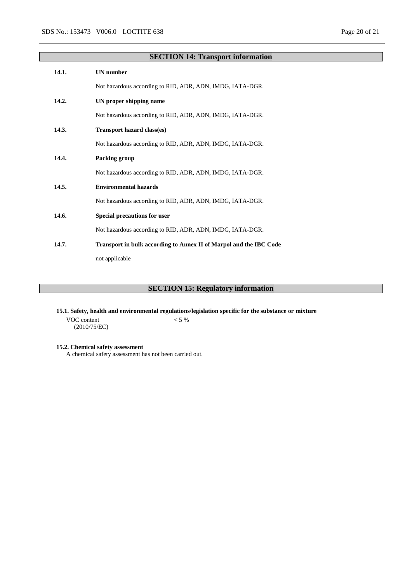# **SECTION 14: Transport information 14.1. UN number** Not hazardous according to RID, ADR, ADN, IMDG, IATA-DGR. **14.2. UN proper shipping name** Not hazardous according to RID, ADR, ADN, IMDG, IATA-DGR. **14.3. Transport hazard class(es)** Not hazardous according to RID, ADR, ADN, IMDG, IATA-DGR. **14.4. Packing group** Not hazardous according to RID, ADR, ADN, IMDG, IATA-DGR. **14.5. Environmental hazards** Not hazardous according to RID, ADR, ADN, IMDG, IATA-DGR. **14.6. Special precautions for user** Not hazardous according to RID, ADR, ADN, IMDG, IATA-DGR. **14.7. Transport in bulk according to Annex II of Marpol and the IBC Code** not applicable

# **SECTION 15: Regulatory information**

**15.1. Safety, health and environmental regulations/legislation specific for the substance or mixture**

VOC content (2010/75/EC)  $< 5\ \%$ 

#### **15.2. Chemical safety assessment**

A chemical safety assessment has not been carried out.